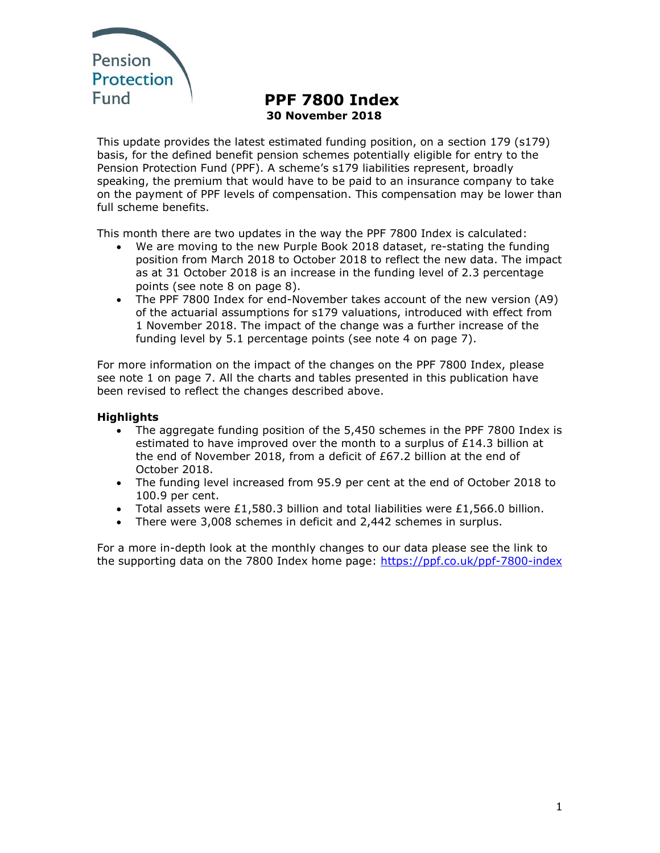

# **PPF 7800 Index 30 November 2018**

This update provides the latest estimated funding position, on a section 179 (s179) basis, for the defined benefit pension schemes potentially eligible for entry to the Pension Protection Fund (PPF). A scheme's s179 liabilities represent, broadly speaking, the premium that would have to be paid to an insurance company to take on the payment of PPF levels of compensation. This compensation may be lower than full scheme benefits.

This month there are two updates in the way the PPF 7800 Index is calculated:

- We are moving to the new Purple Book 2018 dataset, re-stating the funding position from March 2018 to October 2018 to reflect the new data. The impact as at 31 October 2018 is an increase in the funding level of 2.3 percentage points (see note 8 on page 8).
- The PPF 7800 Index for end-November takes account of the new version (A9) of the actuarial assumptions for s179 valuations, introduced with effect from 1 November 2018. The impact of the change was a further increase of the funding level by 5.1 percentage points (see note 4 on page 7).

For more information on the impact of the changes on the PPF 7800 Index, please see note 1 on page 7. All the charts and tables presented in this publication have been revised to reflect the changes described above.

### **Highlights**

- The aggregate funding position of the 5,450 schemes in the PPF 7800 Index is estimated to have improved over the month to a surplus of  $£14.3$  billion at the end of November 2018, from a deficit of £67.2 billion at the end of October 2018.
- The funding level increased from 95.9 per cent at the end of October 2018 to 100.9 per cent.
- Total assets were £1,580.3 billion and total liabilities were £1,566.0 billion.
- There were 3,008 schemes in deficit and 2,442 schemes in surplus.

For a more in-depth look at the monthly changes to our data please see the link to the supporting data on the 7800 Index home page: https://ppf.co.uk/ppf-7800-index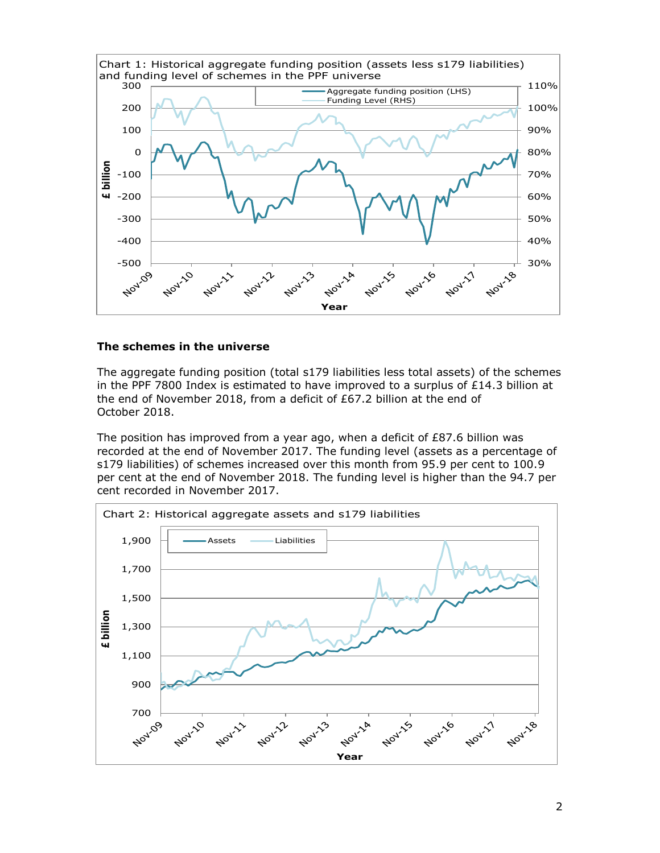

#### **The schemes in the universe**

The aggregate funding position (total s179 liabilities less total assets) of the schemes in the PPF 7800 Index is estimated to have improved to a surplus of  $£14.3$  billion at the end of November 2018, from a deficit of £67.2 billion at the end of October 2018.

The position has improved from a year ago, when a deficit of £87.6 billion was recorded at the end of November 2017. The funding level (assets as a percentage of s179 liabilities) of schemes increased over this month from 95.9 per cent to 100.9 per cent at the end of November 2018. The funding level is higher than the 94.7 per cent recorded in November 2017.

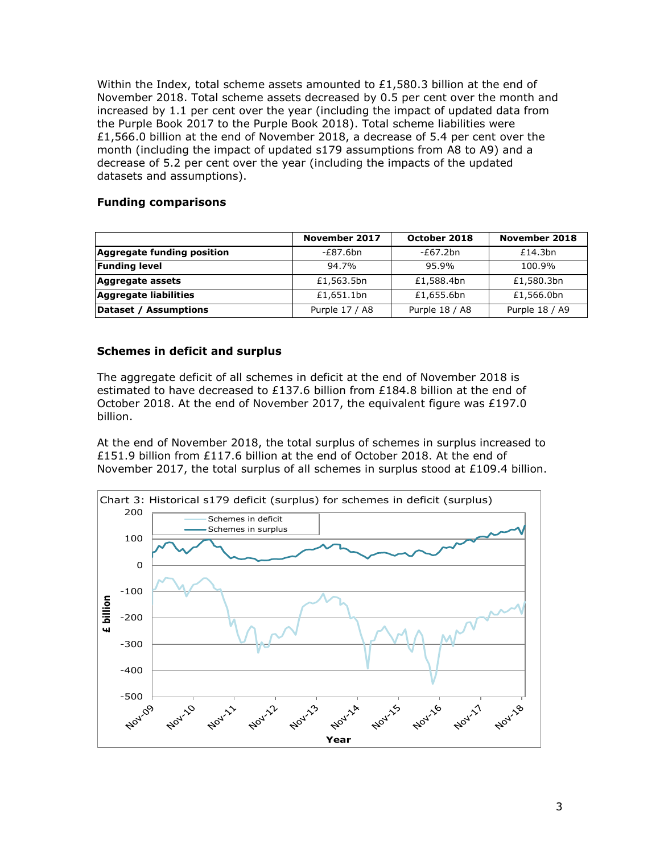Within the Index, total scheme assets amounted to  $£1,580.3$  billion at the end of November 2018. Total scheme assets decreased by 0.5 per cent over the month and increased by 1.1 per cent over the year (including the impact of updated data from the Purple Book 2017 to the Purple Book 2018). Total scheme liabilities were £1,566.0 billion at the end of November 2018, a decrease of 5.4 per cent over the month (including the impact of updated s179 assumptions from A8 to A9) and a decrease of 5.2 per cent over the year (including the impacts of the updated datasets and assumptions).

#### **Funding comparisons**

|                            | November 2017  | October 2018   | November 2018  |
|----------------------------|----------------|----------------|----------------|
| Aggregate funding position | -£87.6bn       | $-E67.2bn$     | £14.3bn        |
| <b>Funding level</b>       | 94.7%          | 95.9%          | 100.9%         |
| Aggregate assets           | £1,563.5bn     | £1,588.4bn     | £1,580.3bn     |
| Aggregate liabilities      | £1,651.1bn     | £1,655.6bn     | £1,566.0bn     |
| Dataset / Assumptions      | Purple 17 / A8 | Purple 18 / A8 | Purple 18 / A9 |

#### **Schemes in deficit and surplus**

The aggregate deficit of all schemes in deficit at the end of November 2018 is estimated to have decreased to £137.6 billion from £184.8 billion at the end of October 2018. At the end of November 2017, the equivalent figure was £197.0 billion.

At the end of November 2018, the total surplus of schemes in surplus increased to £151.9 billion from £117.6 billion at the end of October 2018. At the end of November 2017, the total surplus of all schemes in surplus stood at  $£109.4$  billion.

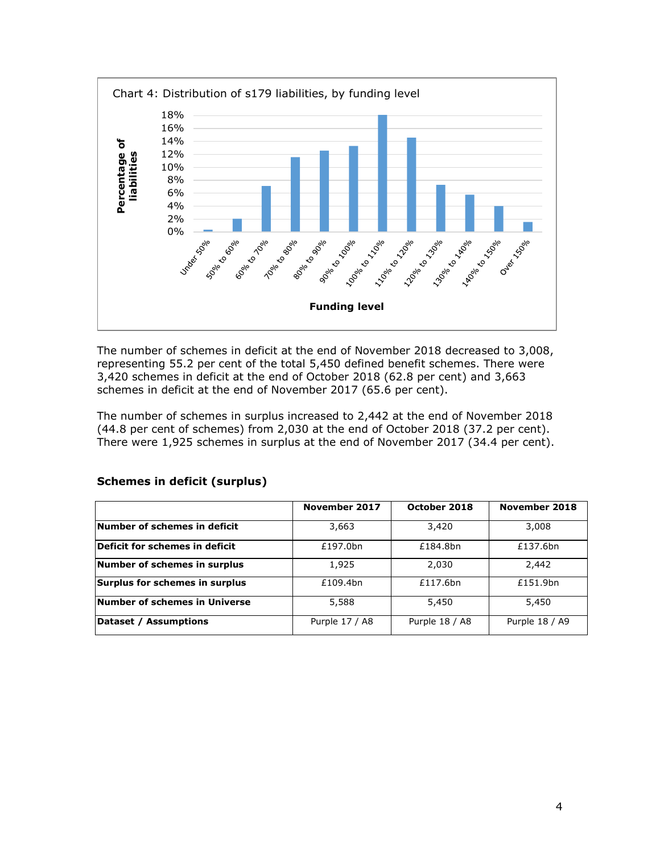

The number of schemes in deficit at the end of November 2018 decreased to 3,008, representing 55.2 per cent of the total 5,450 defined benefit schemes. There were 3,420 schemes in deficit at the end of October 2018 (62.8 per cent) and 3,663 schemes in deficit at the end of November 2017 (65.6 per cent).

The number of schemes in surplus increased to 2,442 at the end of November 2018 (44.8 per cent of schemes) from 2,030 at the end of October 2018 (37.2 per cent). There were 1,925 schemes in surplus at the end of November 2017 (34.4 per cent).

|                                | November 2017  | October 2018   | November 2018  |
|--------------------------------|----------------|----------------|----------------|
| Number of schemes in deficit   | 3,663          | 3,420          | 3,008          |
| Deficit for schemes in deficit | £197.0bn       | £184.8bn       | £137.6bn       |
| Number of schemes in surplus   | 1,925          | 2,030          | 2,442          |
| Surplus for schemes in surplus | £109.4bn       | £117.6bn       | £151.9bn       |
| Number of schemes in Universe  | 5,588          | 5,450          | 5,450          |
| Dataset / Assumptions          | Purple 17 / A8 | Purple 18 / A8 | Purple 18 / A9 |

#### **Schemes in deficit (surplus)**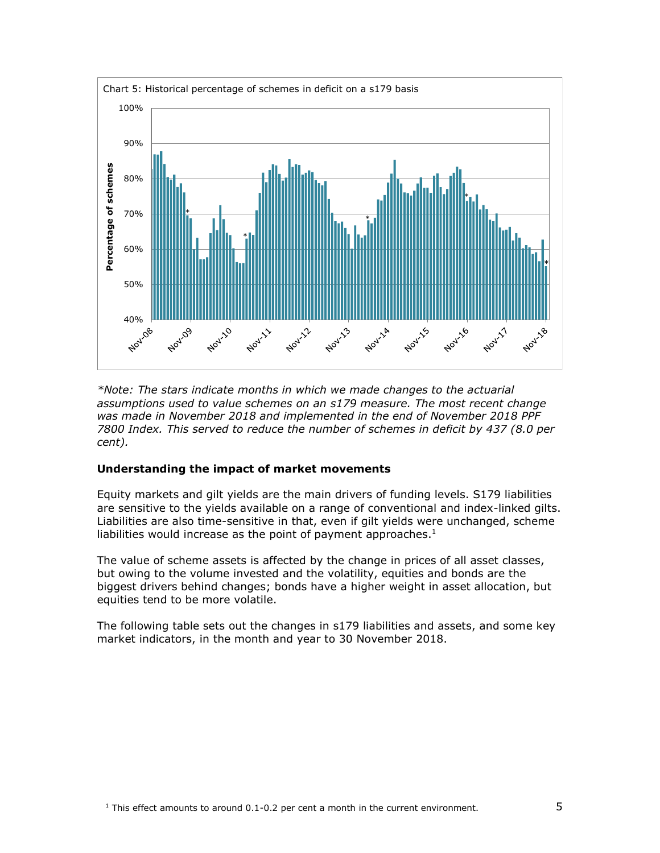

*\*Note: The stars indicate months in which we made changes to the actuarial assumptions used to value schemes on an s179 measure. The most recent change was made in November 2018 and implemented in the end of November 2018 PPF 7800 Index. This served to reduce the number of schemes in deficit by 437 (8.0 per cent).*

#### **Understanding the impact of market movements**

Equity markets and gilt yields are the main drivers of funding levels. S179 liabilities are sensitive to the yields available on a range of conventional and index-linked gilts. Liabilities are also time-sensitive in that, even if gilt yields were unchanged, scheme liabilities would increase as the point of payment approaches. $1$ 

The value of scheme assets is affected by the change in prices of all asset classes, but owing to the volume invested and the volatility, equities and bonds are the biggest drivers behind changes; bonds have a higher weight in asset allocation, but equities tend to be more volatile.

The following table sets out the changes in s179 liabilities and assets, and some key market indicators, in the month and year to 30 November 2018.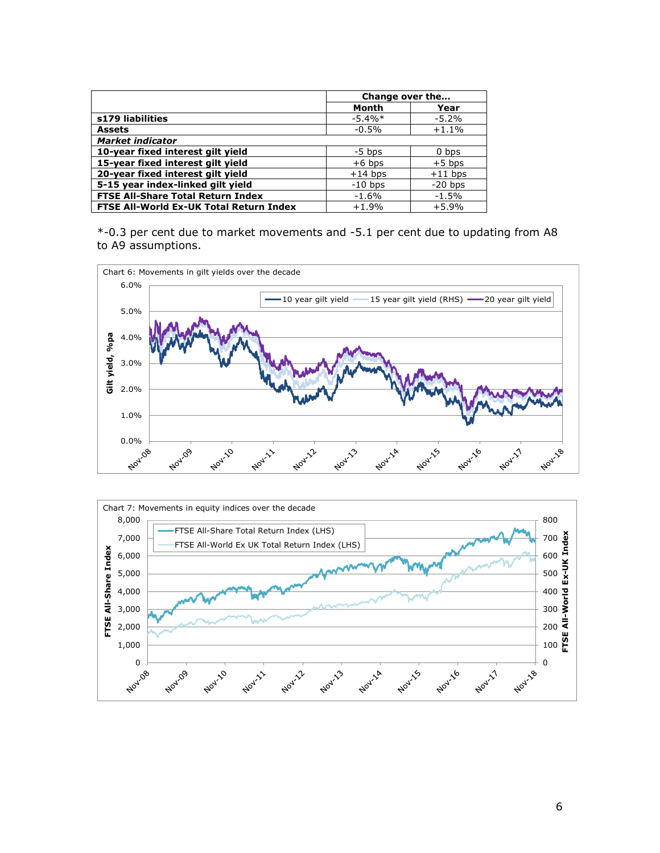|                                                | Change over the |           |
|------------------------------------------------|-----------------|-----------|
|                                                | Month           | Year      |
| s179 liabilities                               | $-5.4\%*$       | $-5.2%$   |
| <b>Assets</b>                                  | $-0.5%$         | $+1.1%$   |
| <b>Market indicator</b>                        |                 |           |
| 10-year fixed interest gilt yield              | $-5$ bps        | 0 bps     |
| 15-year fixed interest gilt yield              | $+6$ bps        | $+5$ bps  |
| 20-year fixed interest gilt yield              | $+14$ bps       | $+11$ bps |
| 5-15 year index-linked gilt yield              | $-10$ bps       | $-20$ bps |
| <b>FTSE All-Share Total Return Index</b>       | $-1.6%$         | $-1.5%$   |
| <b>FTSE All-World Ex-UK Total Return Index</b> | $+1.9%$         | $+5.9%$   |

\*-0.3 per cent due to market movements and -5.1 per cent due to updating from A8 to A9 assumptions.



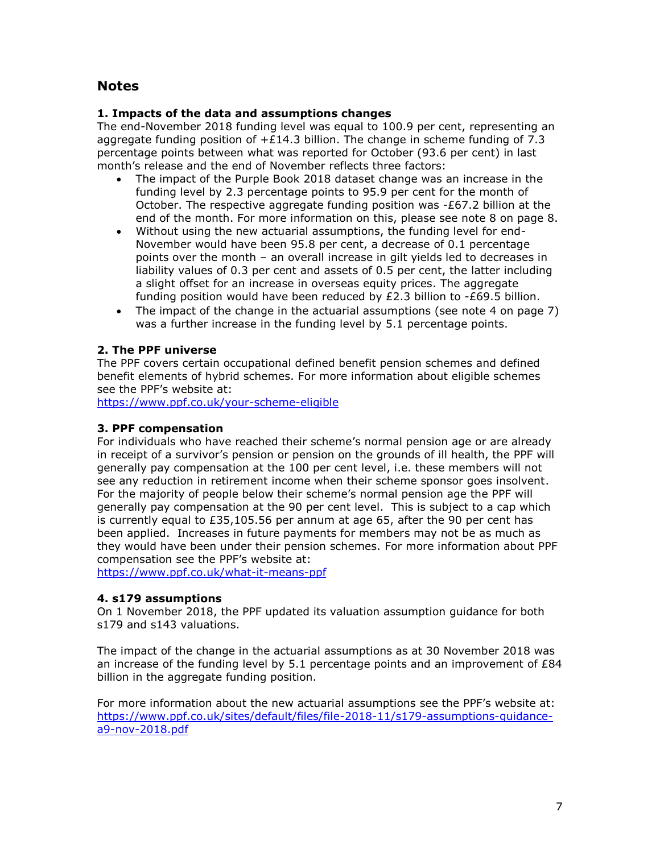# **Notes**

#### **1. Impacts of the data and assumptions changes**

The end-November 2018 funding level was equal to 100.9 per cent, representing an aggregate funding position of  $+£14.3$  billion. The change in scheme funding of 7.3 percentage points between what was reported for October (93.6 per cent) in last month's release and the end of November reflects three factors:

- The impact of the Purple Book 2018 dataset change was an increase in the funding level by 2.3 percentage points to 95.9 per cent for the month of October. The respective aggregate funding position was -£67.2 billion at the end of the month. For more information on this, please see note 8 on page 8.
- Without using the new actuarial assumptions, the funding level for end-November would have been 95.8 per cent, a decrease of 0.1 percentage points over the month – an overall increase in gilt yields led to decreases in liability values of 0.3 per cent and assets of 0.5 per cent, the latter including a slight offset for an increase in overseas equity prices. The aggregate funding position would have been reduced by £2.3 billion to -£69.5 billion.
- The impact of the change in the actuarial assumptions (see note 4 on page 7) was a further increase in the funding level by 5.1 percentage points.

#### **2. The PPF universe**

The PPF covers certain occupational defined benefit pension schemes and defined benefit elements of hybrid schemes. For more information about eligible schemes see the PPF's website at:

<https://www.ppf.co.uk/your-scheme-eligible>

#### **3. PPF compensation**

For individuals who have reached their scheme's normal pension age or are already in receipt of a survivor's pension or pension on the grounds of ill health, the PPF will generally pay compensation at the 100 per cent level, i.e. these members will not see any reduction in retirement income when their scheme sponsor goes insolvent. For the majority of people below their scheme's normal pension age the PPF will generally pay compensation at the 90 per cent level. This is subject to a cap which is currently equal to £35,105.56 per annum at age 65, after the 90 per cent has been applied. Increases in future payments for members may not be as much as they would have been under their pension schemes. For more information about PPF compensation see the PPF's website at:

<https://www.ppf.co.uk/what-it-means-ppf>

#### **4. s179 assumptions**

On 1 November 2018, the PPF updated its valuation assumption guidance for both s179 and s143 valuations.

The impact of the change in the actuarial assumptions as at 30 November 2018 was an increase of the funding level by 5.1 percentage points and an improvement of  $E84$ billion in the aggregate funding position.

For more information about the new actuarial assumptions see the PPF's website at: [https://www.ppf.co.uk/sites/default/files/file-2018-11/s179-assumptions-guidance](https://www.ppf.co.uk/sites/default/files/file-2018-11/s179-assumptions-guidance-a9-nov-2018.pdf)[a9-nov-2018.pdf](https://www.ppf.co.uk/sites/default/files/file-2018-11/s179-assumptions-guidance-a9-nov-2018.pdf)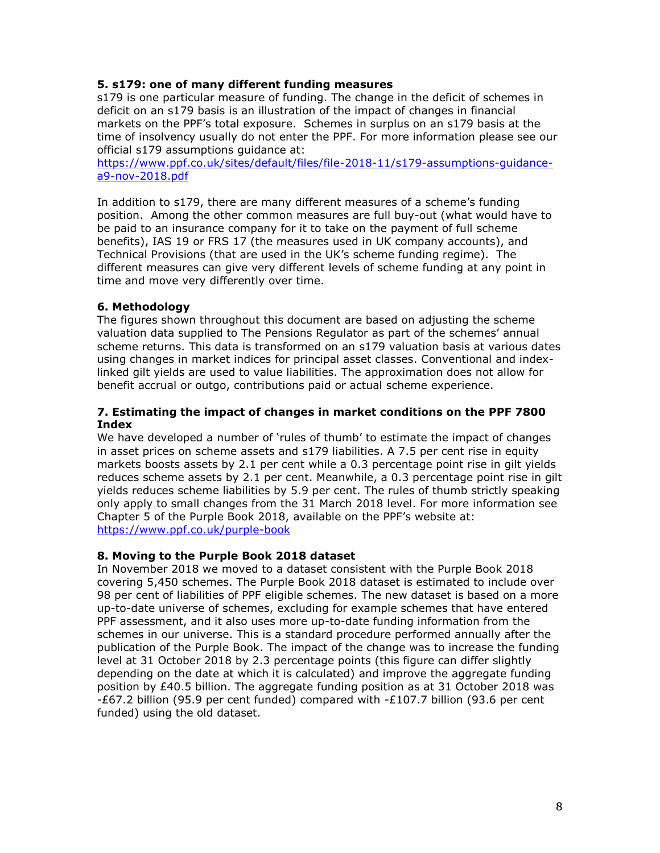#### **5. s179: one of many different funding measures**

s179 is one particular measure of funding. The change in the deficit of schemes in deficit on an s179 basis is an illustration of the impact of changes in financial markets on the PPF's total exposure. Schemes in surplus on an s179 basis at the time of insolvency usually do not enter the PPF. For more information please see our official s179 assumptions guidance at:

[https://www.ppf.co.uk/sites/default/files/file-2018-11/s179-assumptions-guidance](https://www.ppf.co.uk/sites/default/files/file-2018-11/s179-assumptions-guidance-a9-nov-2018.pdf)[a9-nov-2018.pdf](https://www.ppf.co.uk/sites/default/files/file-2018-11/s179-assumptions-guidance-a9-nov-2018.pdf)

In addition to s179, there are many different measures of a scheme's funding position. Among the other common measures are full buy-out (what would have to be paid to an insurance company for it to take on the payment of full scheme benefits), IAS 19 or FRS 17 (the measures used in UK company accounts), and Technical Provisions (that are used in the UK's scheme funding regime). The different measures can give very different levels of scheme funding at any point in time and move very differently over time.

#### **6. Methodology**

The figures shown throughout this document are based on adjusting the scheme valuation data supplied to The Pensions Regulator as part of the schemes' annual scheme returns. This data is transformed on an s179 valuation basis at various dates using changes in market indices for principal asset classes. Conventional and indexlinked gilt yields are used to value liabilities. The approximation does not allow for benefit accrual or outgo, contributions paid or actual scheme experience.

#### **7. Estimating the impact of changes in market conditions on the PPF 7800 Index**

We have developed a number of 'rules of thumb' to estimate the impact of changes in asset prices on scheme assets and s179 liabilities. A 7.5 per cent rise in equity markets boosts assets by 2.1 per cent while a 0.3 percentage point rise in gilt yields reduces scheme assets by 2.1 per cent. Meanwhile, a 0.3 percentage point rise in gilt yields reduces scheme liabilities by 5.9 per cent. The rules of thumb strictly speaking only apply to small changes from the 31 March 2018 level. For more information see Chapter 5 of the Purple Book 2018, available on the PPF's website at: <https://www.ppf.co.uk/purple-book>

#### **8. Moving to the Purple Book 2018 dataset**

In November 2018 we moved to a dataset consistent with the Purple Book 2018 covering 5,450 schemes. The Purple Book 2018 dataset is estimated to include over 98 per cent of liabilities of PPF eligible schemes. The new dataset is based on a more up-to-date universe of schemes, excluding for example schemes that have entered PPF assessment, and it also uses more up-to-date funding information from the schemes in our universe. This is a standard procedure performed annually after the publication of the Purple Book. The impact of the change was to increase the funding level at 31 October 2018 by 2.3 percentage points (this figure can differ slightly depending on the date at which it is calculated) and improve the aggregate funding position by £40.5 billion. The aggregate funding position as at 31 October 2018 was -£67.2 billion (95.9 per cent funded) compared with -£107.7 billion (93.6 per cent funded) using the old dataset.